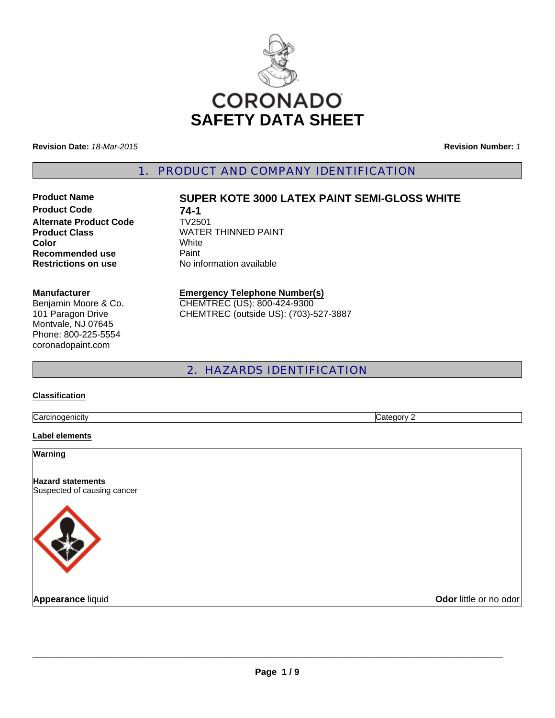

**Revision Date:** *18-Mar-2015*

**Revision Number:** *1*

1. PRODUCT AND COMPANY IDENTIFICATION

**Product Code 74-1**<br>Alternate Product Code **TV2501 Alternate Product Code Color** White **Recommended use Paint** 

# **Product Name SUPER KOTE 3000 LATEX PAINT SEMI-GLOSS WHITE**

**Product Class WATER THINNED PAINT Restrictions on use** No information available

#### **Manufacturer**

Benjamin Moore & Co. 101 Paragon Drive Montvale, NJ 07645 Phone: 800-225-5554 coronadopaint.com

# **Emergency Telephone Number(s)** CHEMTREC (US): 800-424-9300

CHEMTREC (outside US): (703)-527-3887

# 2. HAZARDS IDENTIFICATION

#### **Classification**

**Carcinogenicity** Category 2

#### **Label elements**

**Warning**

**Hazard statements** Suspected of causing cancer



**Appearance liquid Odor little or no odor**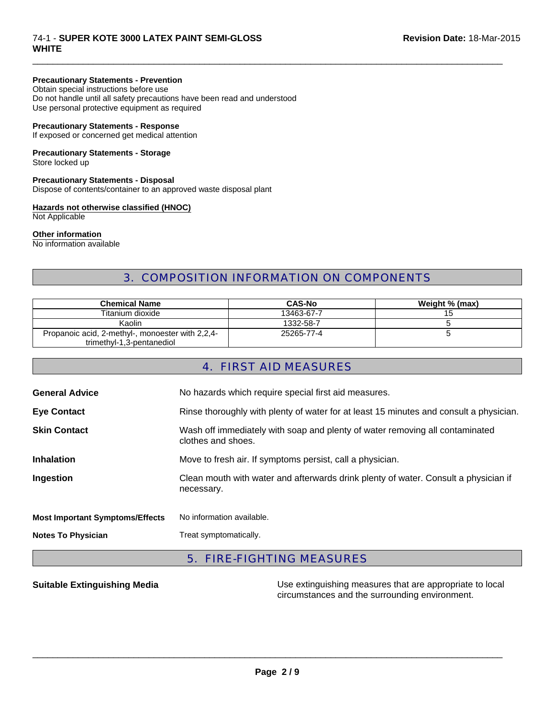#### 74-1 - **SUPER KOTE 3000 LATEX PAINT SEMI-GLOSS Revision Date:** 18-Mar-2015 **WHITE**

#### **Precautionary Statements - Prevention**

Obtain special instructions before use Do not handle until all safety precautions have been read and understood Use personal protective equipment as required

#### **Precautionary Statements - Response**

If exposed or concerned get medical attention

# **Precautionary Statements - Storage**

Store locked up

### **Precautionary Statements - Disposal**

Dispose of contents/container to an approved waste disposal plant

#### **Hazards not otherwise classified (HNOC)**

Not Applicable

#### **Other information**

No information available

# 3. COMPOSITION INFORMATION ON COMPONENTS

 $\Box$ 

| <b>Chemical Name</b>                             | <b>CAS-No</b> | Weight % (max) |
|--------------------------------------------------|---------------|----------------|
| Titanium dioxide                                 | 13463-67-7    | 15             |
| Kaolin                                           | 1332-58-7     |                |
| Propanoic acid, 2-methyl-, monoester with 2,2,4- | 25265-77-4    |                |
| trimethyl-1,3-pentanediol                        |               |                |

# 4. FIRST AID MEASURES

| <b>General Advice</b>                  | No hazards which require special first aid measures.                                               |
|----------------------------------------|----------------------------------------------------------------------------------------------------|
| <b>Eye Contact</b>                     | Rinse thoroughly with plenty of water for at least 15 minutes and consult a physician.             |
| <b>Skin Contact</b>                    | Wash off immediately with soap and plenty of water removing all contaminated<br>clothes and shoes. |
| <b>Inhalation</b>                      | Move to fresh air. If symptoms persist, call a physician.                                          |
| Ingestion                              | Clean mouth with water and afterwards drink plenty of water. Consult a physician if<br>necessary.  |
| <b>Most Important Symptoms/Effects</b> | No information available.                                                                          |
| <b>Notes To Physician</b>              | Treat symptomatically.                                                                             |

# 5. FIRE-FIGHTING MEASURES

**Suitable Extinguishing Media** Maximum Use extinguishing measures that are appropriate to local circumstances and the surrounding environment.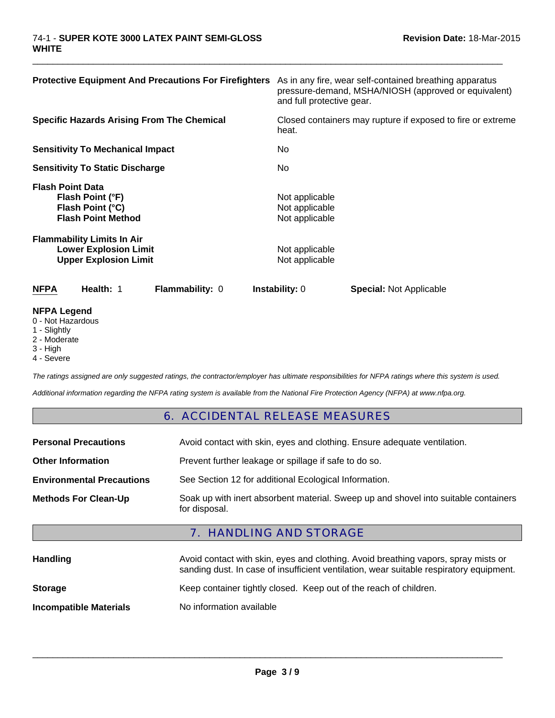| <b>Protective Equipment And Precautions For Firefighters</b>                                      | As in any fire, wear self-contained breathing apparatus<br>pressure-demand, MSHA/NIOSH (approved or equivalent)<br>and full protective gear. |
|---------------------------------------------------------------------------------------------------|----------------------------------------------------------------------------------------------------------------------------------------------|
| <b>Specific Hazards Arising From The Chemical</b>                                                 | Closed containers may rupture if exposed to fire or extreme<br>heat.                                                                         |
| <b>Sensitivity To Mechanical Impact</b>                                                           | No                                                                                                                                           |
| <b>Sensitivity To Static Discharge</b>                                                            | No.                                                                                                                                          |
| <b>Flash Point Data</b><br>Flash Point (°F)<br>Flash Point (°C)<br><b>Flash Point Method</b>      | Not applicable<br>Not applicable<br>Not applicable                                                                                           |
| <b>Flammability Limits In Air</b><br><b>Lower Explosion Limit</b><br><b>Upper Explosion Limit</b> | Not applicable<br>Not applicable                                                                                                             |
| <b>NFPA</b><br>Health: 1<br><b>Flammability: 0</b>                                                | <b>Instability: 0</b><br><b>Special: Not Applicable</b>                                                                                      |
| <b>NFPA Legend</b>                                                                                |                                                                                                                                              |

 $\Box$ 

- 0 Not Hazardous
- 1 Slightly
- 2 Moderate
- 3 High
- 4 Severe

*The ratings assigned are only suggested ratings, the contractor/employer has ultimate responsibilities for NFPA ratings where this system is used.*

*Additional information regarding the NFPA rating system is available from the National Fire Protection Agency (NFPA) at www.nfpa.org.*

#### 6. ACCIDENTAL RELEASE MEASURES

| <b>Personal Precautions</b>      | Avoid contact with skin, eyes and clothing. Ensure adequate ventilation.                             |
|----------------------------------|------------------------------------------------------------------------------------------------------|
| <b>Other Information</b>         | Prevent further leakage or spillage if safe to do so.                                                |
| <b>Environmental Precautions</b> | See Section 12 for additional Ecological Information.                                                |
| <b>Methods For Clean-Up</b>      | Soak up with inert absorbent material. Sweep up and shovel into suitable containers<br>for disposal. |

# 7. HANDLING AND STORAGE

| <b>Handling</b>               | Avoid contact with skin, eyes and clothing. Avoid breathing vapors, spray mists or<br>sanding dust. In case of insufficient ventilation, wear suitable respiratory equipment. |  |
|-------------------------------|-------------------------------------------------------------------------------------------------------------------------------------------------------------------------------|--|
| <b>Storage</b>                | Keep container tightly closed. Keep out of the reach of children.                                                                                                             |  |
| <b>Incompatible Materials</b> | No information available                                                                                                                                                      |  |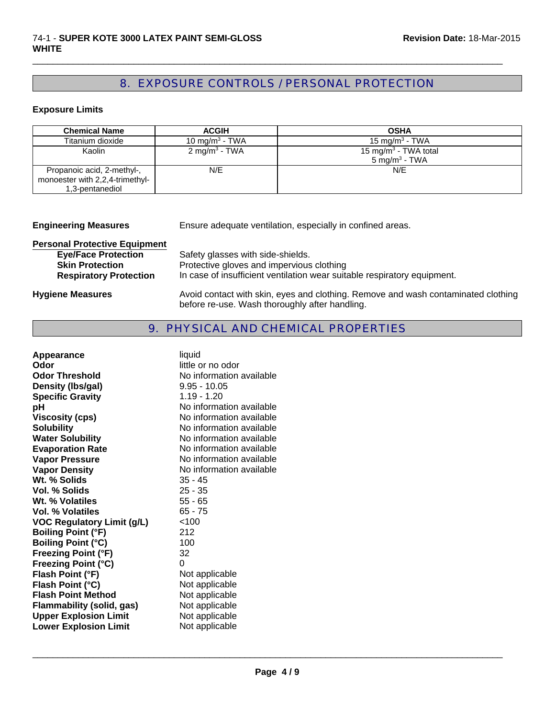# 8. EXPOSURE CONTROLS / PERSONAL PROTECTION

 $\Box$ 

# **Exposure Limits**

| <b>Chemical Name</b>                                                             | <b>ACGIH</b>               | <b>OSHA</b>                                                  |
|----------------------------------------------------------------------------------|----------------------------|--------------------------------------------------------------|
| Titanium dioxide                                                                 | 10 mg/m <sup>3</sup> - TWA | 15 mg/m <sup>3</sup> - TWA                                   |
| Kaolin                                                                           | 2 mg/m <sup>3</sup> - TWA  | 15 mg/m <sup>3</sup> - TWA total<br>$5 \text{ mg/m}^3$ - TWA |
| Propanoic acid, 2-methyl-,<br>monoester with 2,2,4-trimethyl-<br>1,3-pentanediol | N/E                        | N/E                                                          |

| <b>Engineering Measures</b>          | Ensure adequate ventilation, especially in confined areas.                                                                          |  |
|--------------------------------------|-------------------------------------------------------------------------------------------------------------------------------------|--|
| <b>Personal Protective Equipment</b> |                                                                                                                                     |  |
| <b>Eye/Face Protection</b>           | Safety glasses with side-shields.                                                                                                   |  |
| <b>Skin Protection</b>               | Protective gloves and impervious clothing                                                                                           |  |
| <b>Respiratory Protection</b>        | In case of insufficient ventilation wear suitable respiratory equipment.                                                            |  |
| <b>Hygiene Measures</b>              | Avoid contact with skin, eyes and clothing. Remove and wash contaminated clothing<br>before re-use. Wash thoroughly after handling. |  |

### 9. PHYSICAL AND CHEMICAL PROPERTIES

| liquid                   |
|--------------------------|
| little or no odor        |
| No information available |
| $9.95 - 10.05$           |
| $1.19 - 1.20$            |
| No information available |
| No information available |
| No information available |
| No information available |
| No information available |
| No information available |
| No information available |
| $35 - 45$                |
| $25 - 35$                |
| $55 - 65$                |
| $65 - 75$                |
| < 100                    |
| 212                      |
| 100                      |
| 32                       |
| 0                        |
| Not applicable           |
| Not applicable           |
| Not applicable           |
| Not applicable           |
| Not applicable           |
| Not applicable           |
|                          |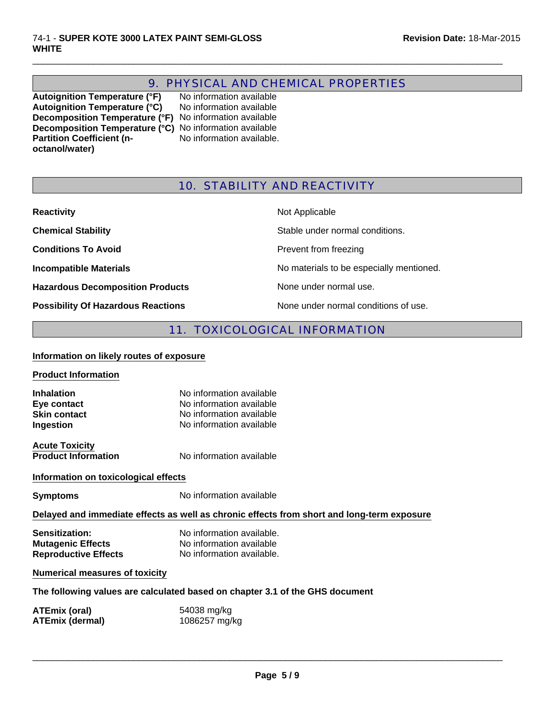# 9. PHYSICAL AND CHEMICAL PROPERTIES

 $\Box$ 

**Autoignition Temperature (°F)** No information available Autoignition Temperature (°C) No information available **Decomposition Temperature (°F)** No information available **Decomposition Temperature (°C)** No information available **Partition Coefficient (noctanol/water)**

No information available.

# 10. STABILITY AND REACTIVITY

| <b>Reactivity</b>                         | Not Applicable                           |
|-------------------------------------------|------------------------------------------|
| <b>Chemical Stability</b>                 | Stable under normal conditions.          |
| <b>Conditions To Avoid</b>                | Prevent from freezing                    |
| <b>Incompatible Materials</b>             | No materials to be especially mentioned. |
| <b>Hazardous Decomposition Products</b>   | None under normal use.                   |
| <b>Possibility Of Hazardous Reactions</b> | None under normal conditions of use.     |

# 11. TOXICOLOGICAL INFORMATION

#### **Information on likely routes of exposure**

| <b>Product Information</b> |  |
|----------------------------|--|
|                            |  |

**Inhalation** No information available **Eye contact** No information available **Skin contact**<br> **Ingestion**<br>
No information available<br>
No information available **No information available** 

**Acute Toxicity**

**Product Information** No information available

#### **Information on toxicological effects**

**Symptoms** No information available

#### **Delayed and immediate effects as well as chronic effects from short and long-term exposure**

| <b>Sensitization:</b>       | No information available. |
|-----------------------------|---------------------------|
| <b>Mutagenic Effects</b>    | No information available  |
| <b>Reproductive Effects</b> | No information available. |

#### **Numerical measures of toxicity**

**The following values are calculated based on chapter 3.1 of the GHS document**

| ATEmix (oral)          | 54038 mg/kg   |
|------------------------|---------------|
| <b>ATEmix (dermal)</b> | 1086257 mg/kg |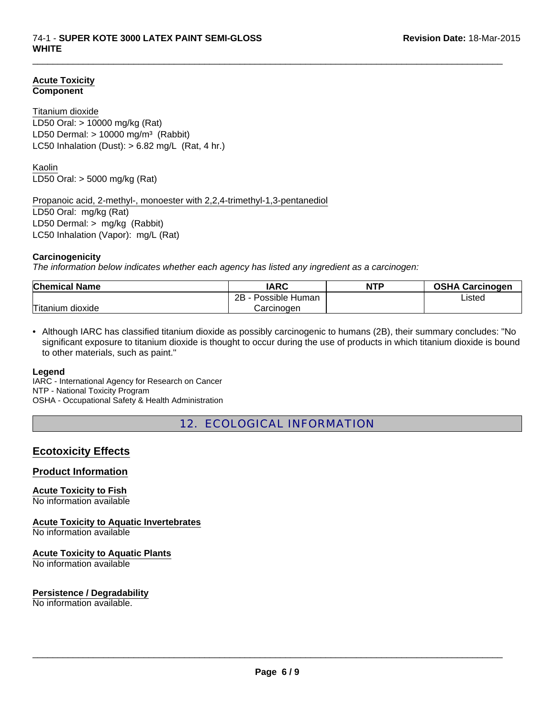#### **Acute Toxicity Component**

#### Titanium dioxide

LD50 Dermal:  $> 10000$  mg/m<sup>3</sup> (Rabbit) LC50 Inhalation (Dust):  $> 6.82$  mg/L (Rat, 4 hr.) LD50 Oral: > 10000 mg/kg (Rat)

Kaolin LD50 Oral: > 5000 mg/kg (Rat)

Propanoic acid, 2-methyl-, monoester with 2,2,4-trimethyl-1,3-pentanediol

LD50 Oral: mg/kg (Rat) LD50 Dermal: > mg/kg (Rabbit) LC50 Inhalation (Vapor): mg/L (Rat)

#### **Carcinogenicity**

*The information below indicates whether each agency has listed any ingredient as a carcinogen:*

| <b>Chemical Name</b>  | IARC                 | <b>NTP</b> | <b>OSHA Carcinogen</b> |
|-----------------------|----------------------|------------|------------------------|
|                       | 2Β<br>Possible Human |            | Listed                 |
| Titanium<br>dioxide ו | Carcinogen           |            |                        |

 $\Box$ 

• Although IARC has classified titanium dioxide as possibly carcinogenic to humans (2B), their summary concludes: "No significant exposure to titanium dioxide is thought to occur during the use of products in which titanium dioxide is bound to other materials, such as paint."

#### **Legend**

IARC - International Agency for Research on Cancer NTP - National Toxicity Program OSHA - Occupational Safety & Health Administration

12. ECOLOGICAL INFORMATION

# **Ecotoxicity Effects**

#### **Product Information**

**Acute Toxicity to Fish**

No information available

**Acute Toxicity to Aquatic Invertebrates**

No information available

#### **Acute Toxicity to Aquatic Plants**

No information available

#### **Persistence / Degradability**

No information available.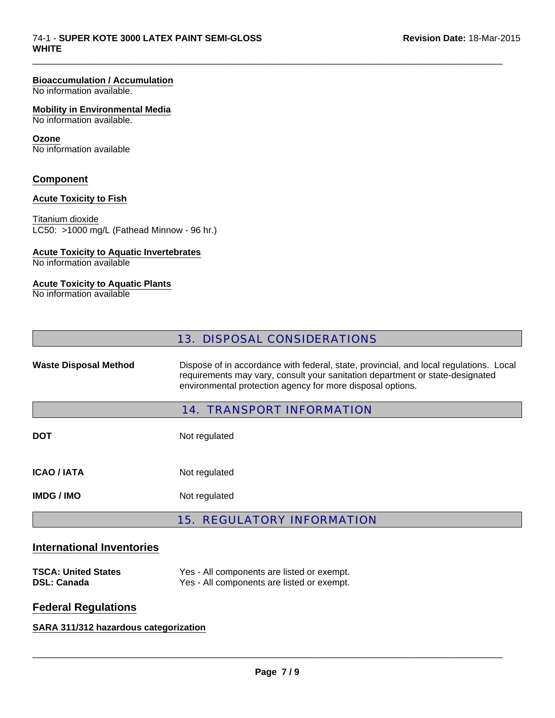#### **Bioaccumulation / Accumulation**

No information available.

#### **Mobility in Environmental Media**

No information available.

#### **Ozone**

No information available

#### **Component**

#### **Acute Toxicity to Fish**

Titanium dioxide LC50: >1000 mg/L (Fathead Minnow - 96 hr.)

#### **Acute Toxicity to Aquatic Invertebrates**

No information available

#### **Acute Toxicity to Aquatic Plants**

No information available

 $\Box$ 

Waste Disposal Method **Dispose of in accordance with federal, state, provincial, and local regulations. Local** requirements may vary, consult your sanitation department or state-designated environmental protection agency for more disposal options.

#### 14. TRANSPORT INFORMATION

**DOT** Not regulated **ICAO / IATA** Not regulated **IMDG / IMO** Not regulated

# 15. REGULATORY INFORMATION

### **International Inventories**

| <b>TSCA: United States</b> | Yes - All components are listed or exempt. |
|----------------------------|--------------------------------------------|
| <b>DSL: Canada</b>         | Yes - All components are listed or exempt. |

# **Federal Regulations**

# **SARA 311/312 hazardous categorization**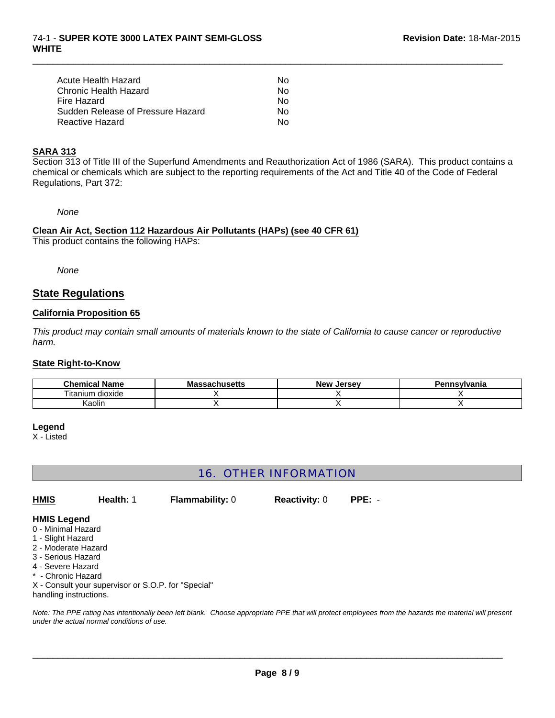| Acute Health Hazard               | N٥ |
|-----------------------------------|----|
| Chronic Health Hazard             | N٥ |
| Fire Hazard                       | N٥ |
| Sudden Release of Pressure Hazard | N٥ |
| Reactive Hazard                   | N٥ |

#### **SARA 313**

Section 313 of Title III of the Superfund Amendments and Reauthorization Act of 1986 (SARA). This product contains a chemical or chemicals which are subject to the reporting requirements of the Act and Title 40 of the Code of Federal Regulations, Part 372:

 $\Box$ 

*None*

#### **Clean Air Act, Section 112 Hazardous Air Pollutants (HAPs) (see 40 CFR 61)** This product contains the following HAPs:

*None*

# **State Regulations**

#### **California Proposition 65**

*This product may contain small amounts of materials known to the state of California to cause cancer or reproductive harm.*

#### **State Right-to-Know**

| <b>Chemical Name</b>       | husatts<br>Ма<br>лизецз | <b>New</b><br>Jersev | Pennsvlvania |
|----------------------------|-------------------------|----------------------|--------------|
| --<br>dioxide<br>. itaniur |                         |                      |              |
| Kaolin                     |                         |                      |              |

#### **Legend**

X - Listed

# 16. OTHER INFORMATION

**Reactivity:** 0 **PPE:** - **HMIS Health:** 1 **Flammability:** 0

#### **HMIS Legend**

- 0 Minimal Hazard
- 1 Slight Hazard
- 2 Moderate Hazard
- 3 Serious Hazard
- 4 Severe Hazard
- \* Chronic Hazard

X - Consult your supervisor or S.O.P. for "Special"

handling instructions.

*Note: The PPE rating has intentionally been left blank. Choose appropriate PPE that will protect employees from the hazards the material will present under the actual normal conditions of use.*